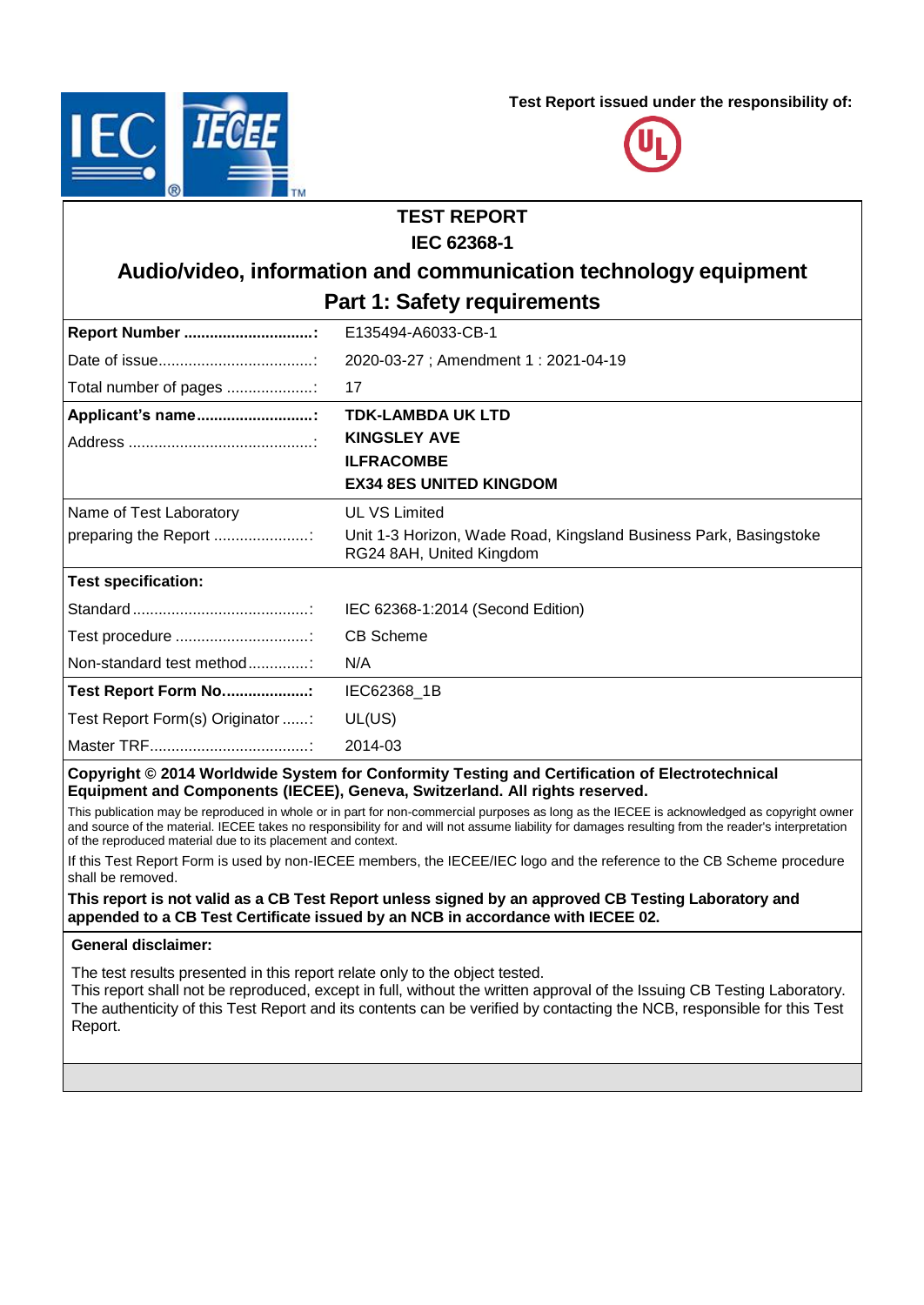**Test Report issued under the responsibility of:**





# **TEST REPORT IEC 62368-1 Audio/video, information and communication technology equipment Part 1: Safety requirements Report Number ..............................:** E135494-A6033-CB-1 Date of issue....................................: 2020-03-27 ; Amendment 1 : 2021-04-19 Total number of pages ....................: 17 **Applicant's name...........................: TDK-LAMBDA UK LTD KINGSLEY AVE ILFRACOMBE EX34 8ES UNITED KINGDOM** Address ...........................................: Name of Test Laboratory preparing the Report ....................... UL VS Limited Unit 1-3 Horizon, Wade Road, Kingsland Business Park, Basingstoke RG24 8AH, United Kingdom **Test specification:** Standard .........................................: IEC 62368-1:2014 (Second Edition) Test procedure ...............................: CB Scheme Non-standard test method...............: N/A **Test Report Form No....................:** IEC62368\_1B

Test Report Form(s) Originator ......: UL(US) Master TRF.....................................: 2014-03

**Copyright © 2014 Worldwide System for Conformity Testing and Certification of Electrotechnical Equipment and Components (IECEE), Geneva, Switzerland. All rights reserved.**

This publication may be reproduced in whole or in part for non-commercial purposes as long as the IECEE is acknowledged as copyright owner and source of the material. IECEE takes no responsibility for and will not assume liability for damages resulting from the reader's interpretation of the reproduced material due to its placement and context.

If this Test Report Form is used by non-IECEE members, the IECEE/IEC logo and the reference to the CB Scheme procedure shall be removed.

#### **This report is not valid as a CB Test Report unless signed by an approved CB Testing Laboratory and appended to a CB Test Certificate issued by an NCB in accordance with IECEE 02.**

#### **General disclaimer:**

The test results presented in this report relate only to the object tested.

This report shall not be reproduced, except in full, without the written approval of the Issuing CB Testing Laboratory. The authenticity of this Test Report and its contents can be verified by contacting the NCB, responsible for this Test Report.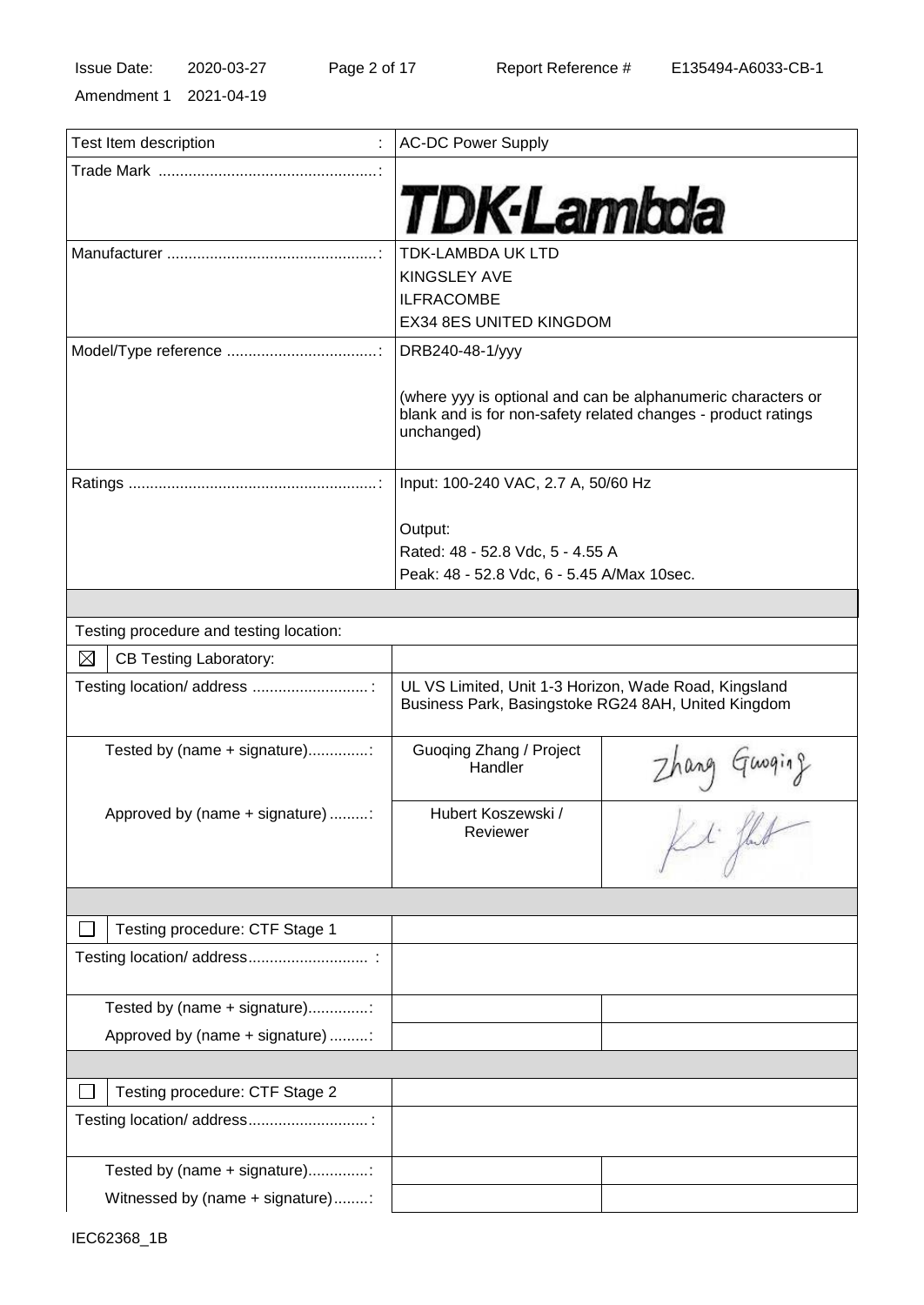Amendment 1 2021-04-19

| Test Item description                        | <b>AC-DC Power Supply</b>                                                                                    |                                                                                                                                                                                                                                                                                                                                                                             |
|----------------------------------------------|--------------------------------------------------------------------------------------------------------------|-----------------------------------------------------------------------------------------------------------------------------------------------------------------------------------------------------------------------------------------------------------------------------------------------------------------------------------------------------------------------------|
|                                              |                                                                                                              |                                                                                                                                                                                                                                                                                                                                                                             |
|                                              |                                                                                                              |                                                                                                                                                                                                                                                                                                                                                                             |
|                                              | <b>TDK-Lambda</b>                                                                                            |                                                                                                                                                                                                                                                                                                                                                                             |
|                                              |                                                                                                              |                                                                                                                                                                                                                                                                                                                                                                             |
|                                              | <b>TDK-LAMBDA UK LTD</b>                                                                                     |                                                                                                                                                                                                                                                                                                                                                                             |
|                                              | <b>KINGSLEY AVE</b>                                                                                          |                                                                                                                                                                                                                                                                                                                                                                             |
|                                              | <b>ILFRACOMBE</b>                                                                                            |                                                                                                                                                                                                                                                                                                                                                                             |
|                                              | EX34 8ES UNITED KINGDOM                                                                                      |                                                                                                                                                                                                                                                                                                                                                                             |
|                                              | DRB240-48-1/yyy                                                                                              |                                                                                                                                                                                                                                                                                                                                                                             |
|                                              |                                                                                                              | (where yyy is optional and can be alphanumeric characters or<br>blank and is for non-safety related changes - product ratings                                                                                                                                                                                                                                               |
|                                              | unchanged)                                                                                                   |                                                                                                                                                                                                                                                                                                                                                                             |
|                                              | Input: 100-240 VAC, 2.7 A, 50/60 Hz                                                                          |                                                                                                                                                                                                                                                                                                                                                                             |
|                                              | Output:                                                                                                      |                                                                                                                                                                                                                                                                                                                                                                             |
|                                              | Rated: 48 - 52.8 Vdc, 5 - 4.55 A                                                                             |                                                                                                                                                                                                                                                                                                                                                                             |
|                                              | Peak: 48 - 52.8 Vdc, 6 - 5.45 A/Max 10sec.                                                                   |                                                                                                                                                                                                                                                                                                                                                                             |
|                                              |                                                                                                              |                                                                                                                                                                                                                                                                                                                                                                             |
| Testing procedure and testing location:      |                                                                                                              |                                                                                                                                                                                                                                                                                                                                                                             |
|                                              |                                                                                                              |                                                                                                                                                                                                                                                                                                                                                                             |
| $\boxtimes$<br><b>CB Testing Laboratory:</b> |                                                                                                              |                                                                                                                                                                                                                                                                                                                                                                             |
| Testing location/ address :                  | UL VS Limited, Unit 1-3 Horizon, Wade Road, Kingsland<br>Business Park, Basingstoke RG24 8AH, United Kingdom |                                                                                                                                                                                                                                                                                                                                                                             |
| Tested by (name + signature)                 | Guoqing Zhang / Project<br>Handler                                                                           |                                                                                                                                                                                                                                                                                                                                                                             |
|                                              |                                                                                                              | Zhang Guoging                                                                                                                                                                                                                                                                                                                                                               |
| Approved by (name + signature) :             | Hubert Koszewski /<br>Reviewer                                                                               | $\begin{picture}(22,14) \put(0,0){\vector(1,0){10}} \put(15,0){\vector(1,0){10}} \put(15,0){\vector(1,0){10}} \put(15,0){\vector(1,0){10}} \put(15,0){\vector(1,0){10}} \put(15,0){\vector(1,0){10}} \put(15,0){\vector(1,0){10}} \put(15,0){\vector(1,0){10}} \put(15,0){\vector(1,0){10}} \put(15,0){\vector(1,0){10}} \put(15,0){\vector(1,0){10}} \put(15,0){\vector(1$ |
|                                              |                                                                                                              |                                                                                                                                                                                                                                                                                                                                                                             |
| Testing procedure: CTF Stage 1               |                                                                                                              |                                                                                                                                                                                                                                                                                                                                                                             |
|                                              |                                                                                                              |                                                                                                                                                                                                                                                                                                                                                                             |
| Tested by (name + signature)                 |                                                                                                              |                                                                                                                                                                                                                                                                                                                                                                             |
| Approved by (name + signature) :             |                                                                                                              |                                                                                                                                                                                                                                                                                                                                                                             |
|                                              |                                                                                                              |                                                                                                                                                                                                                                                                                                                                                                             |
| Testing procedure: CTF Stage 2               |                                                                                                              |                                                                                                                                                                                                                                                                                                                                                                             |
| Testing location/ address                    |                                                                                                              |                                                                                                                                                                                                                                                                                                                                                                             |
| Tested by (name + signature)                 |                                                                                                              |                                                                                                                                                                                                                                                                                                                                                                             |
| Witnessed by (name + signature):             |                                                                                                              |                                                                                                                                                                                                                                                                                                                                                                             |
|                                              |                                                                                                              |                                                                                                                                                                                                                                                                                                                                                                             |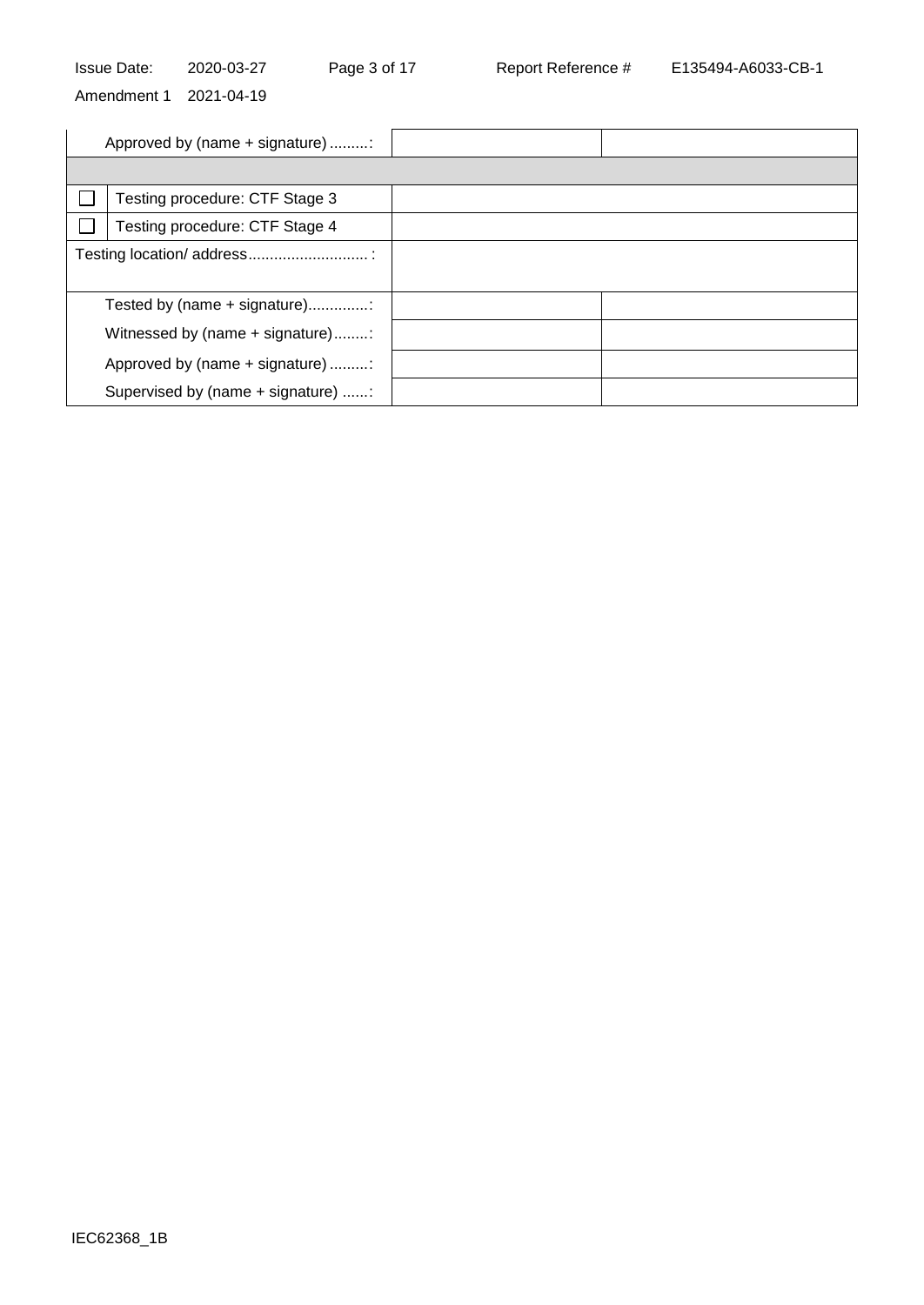Issue Date: 2020-03-27 Page 3 of 17 Report Reference # E135494-A6033-CB-1

Amendment 1 2021-04-19

| Approved by (name + signature)     |  |
|------------------------------------|--|
|                                    |  |
| Testing procedure: CTF Stage 3     |  |
| Testing procedure: CTF Stage 4     |  |
|                                    |  |
|                                    |  |
| Tested by (name + signature)       |  |
| Witnessed by (name + signature):   |  |
| Approved by (name + signature) :   |  |
| Supervised by (name + signature) : |  |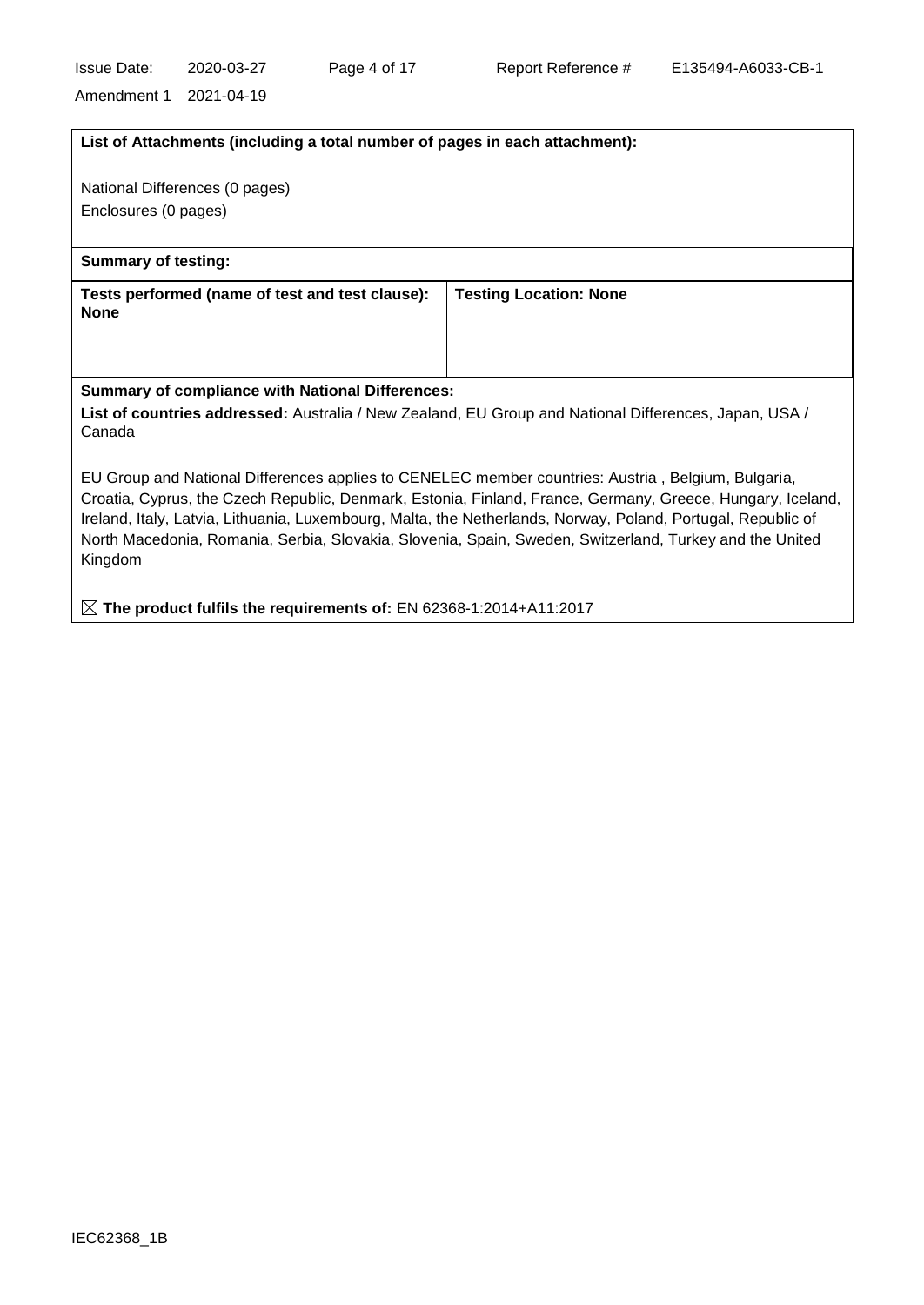**The product fulfils the requirements of:** EN 62368-1:2014+A11:2017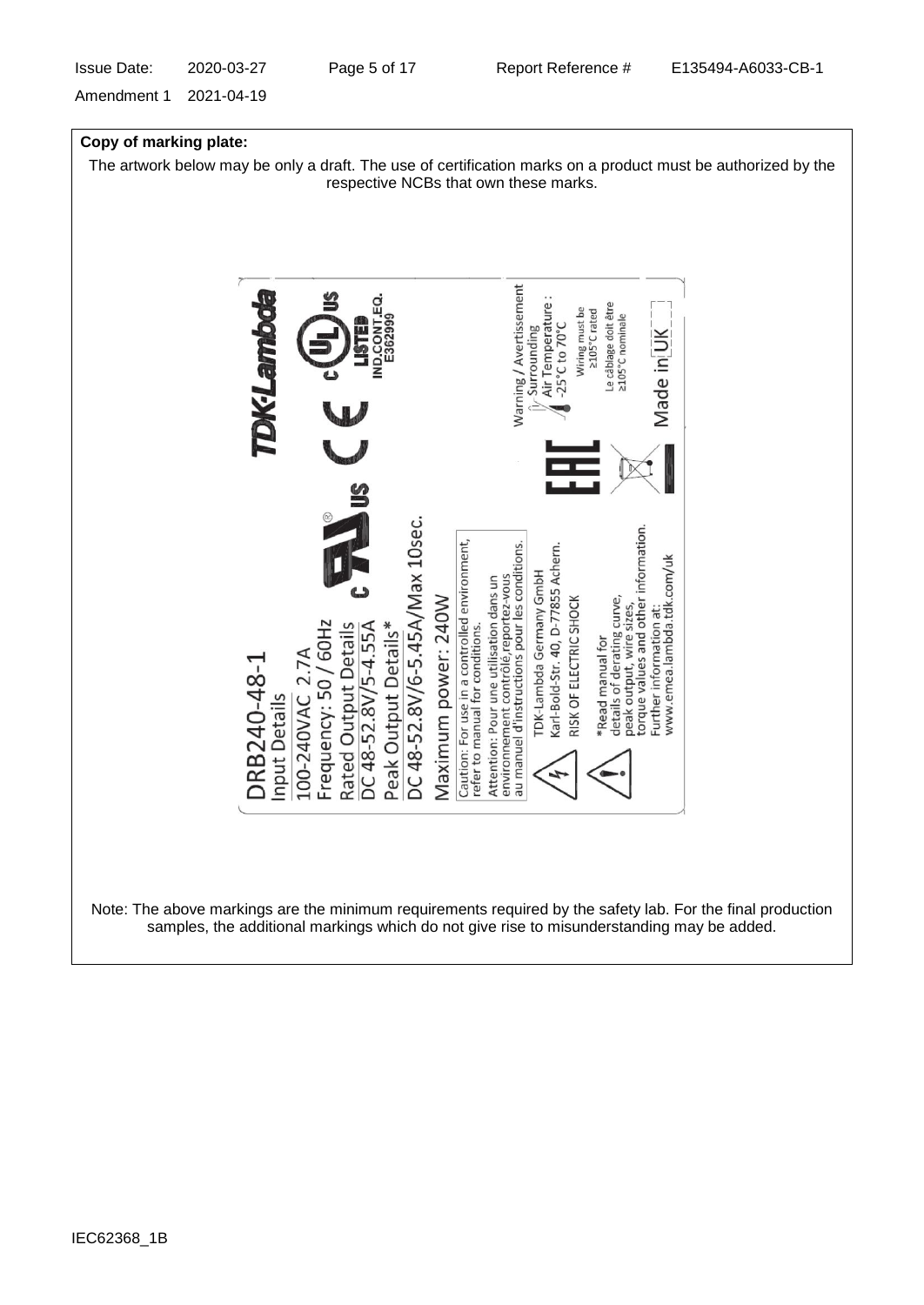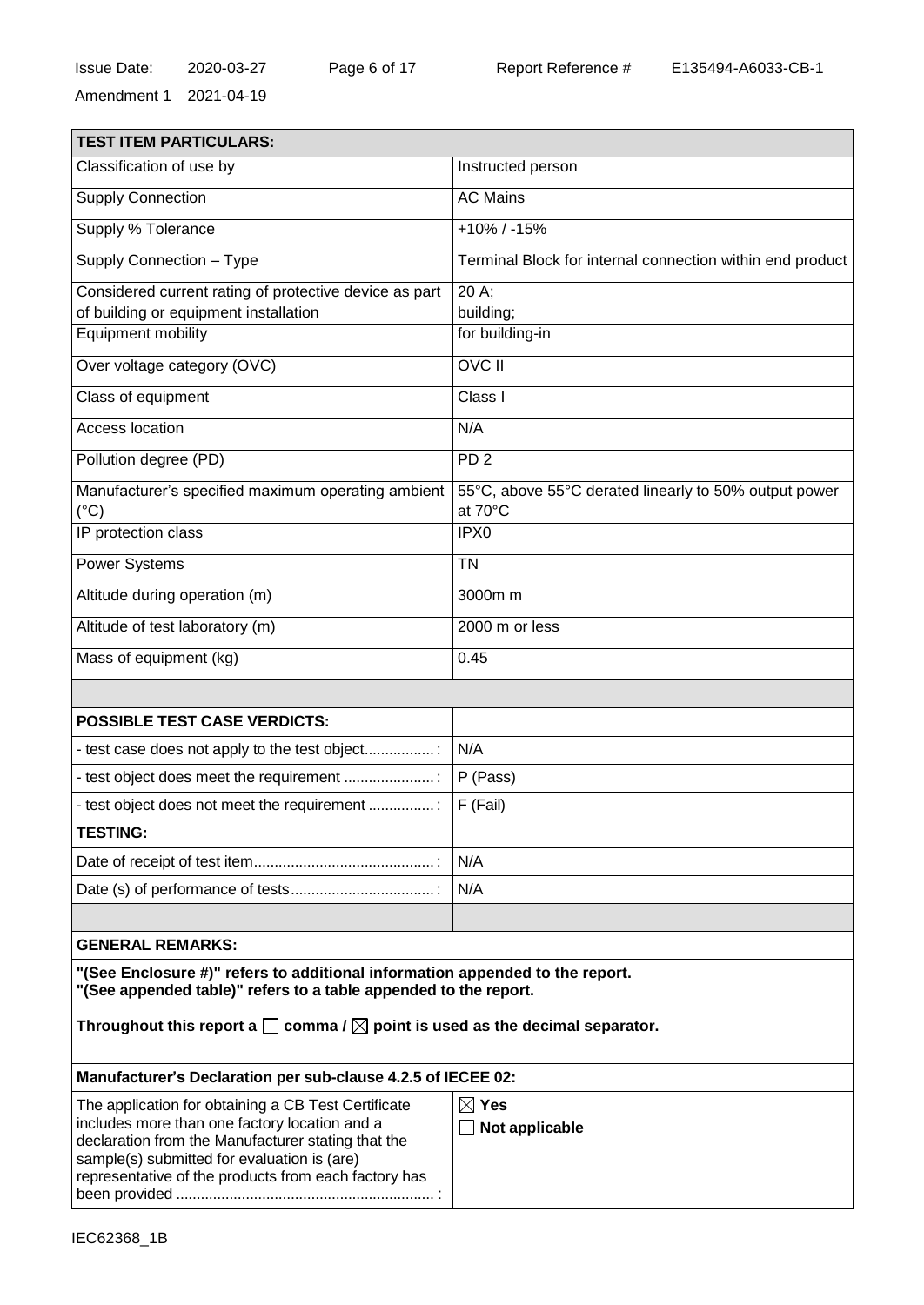| <b>TEST ITEM PARTICULARS:</b>                                                                                                                                                                              |                                                                  |  |  |
|------------------------------------------------------------------------------------------------------------------------------------------------------------------------------------------------------------|------------------------------------------------------------------|--|--|
| Classification of use by                                                                                                                                                                                   | Instructed person                                                |  |  |
| Supply Connection                                                                                                                                                                                          | <b>AC Mains</b>                                                  |  |  |
| Supply % Tolerance                                                                                                                                                                                         | $+10\%$ / -15%                                                   |  |  |
| Supply Connection - Type                                                                                                                                                                                   | Terminal Block for internal connection within end product        |  |  |
| Considered current rating of protective device as part                                                                                                                                                     | 20 A:                                                            |  |  |
| of building or equipment installation                                                                                                                                                                      | building;                                                        |  |  |
| Equipment mobility                                                                                                                                                                                         | for building-in                                                  |  |  |
| Over voltage category (OVC)                                                                                                                                                                                | <b>OVC II</b>                                                    |  |  |
| Class of equipment                                                                                                                                                                                         | Class I                                                          |  |  |
| Access location                                                                                                                                                                                            | N/A                                                              |  |  |
| Pollution degree (PD)                                                                                                                                                                                      | PD <sub>2</sub>                                                  |  |  |
| Manufacturer's specified maximum operating ambient<br>$(^{\circ}C)$                                                                                                                                        | 55°C, above 55°C derated linearly to 50% output power<br>at 70°C |  |  |
| IP protection class                                                                                                                                                                                        | IPX0                                                             |  |  |
| Power Systems                                                                                                                                                                                              | <b>TN</b>                                                        |  |  |
| Altitude during operation (m)                                                                                                                                                                              | 3000m m                                                          |  |  |
| Altitude of test laboratory (m)                                                                                                                                                                            | 2000 m or less                                                   |  |  |
| Mass of equipment (kg)                                                                                                                                                                                     | 0.45                                                             |  |  |
|                                                                                                                                                                                                            |                                                                  |  |  |
| <b>POSSIBLE TEST CASE VERDICTS:</b>                                                                                                                                                                        |                                                                  |  |  |
| - test case does not apply to the test object                                                                                                                                                              | N/A                                                              |  |  |
| - test object does meet the requirement                                                                                                                                                                    | P (Pass)                                                         |  |  |
| - test object does not meet the requirement                                                                                                                                                                | F (Fail)                                                         |  |  |
| <b>TESTING:</b>                                                                                                                                                                                            |                                                                  |  |  |
|                                                                                                                                                                                                            | N/A                                                              |  |  |
|                                                                                                                                                                                                            | N/A                                                              |  |  |
|                                                                                                                                                                                                            |                                                                  |  |  |
| <b>GENERAL REMARKS:</b>                                                                                                                                                                                    |                                                                  |  |  |
| "(See Enclosure #)" refers to additional information appended to the report.<br>"(See appended table)" refers to a table appended to the report.                                                           |                                                                  |  |  |
| Throughout this report a $\square$ comma / $\square$ point is used as the decimal separator.                                                                                                               |                                                                  |  |  |
| Manufacturer's Declaration per sub-clause 4.2.5 of IECEE 02:                                                                                                                                               |                                                                  |  |  |
| The application for obtaining a CB Test Certificate                                                                                                                                                        | $\boxtimes$ Yes                                                  |  |  |
| includes more than one factory location and a<br>declaration from the Manufacturer stating that the<br>sample(s) submitted for evaluation is (are)<br>representative of the products from each factory has | Not applicable                                                   |  |  |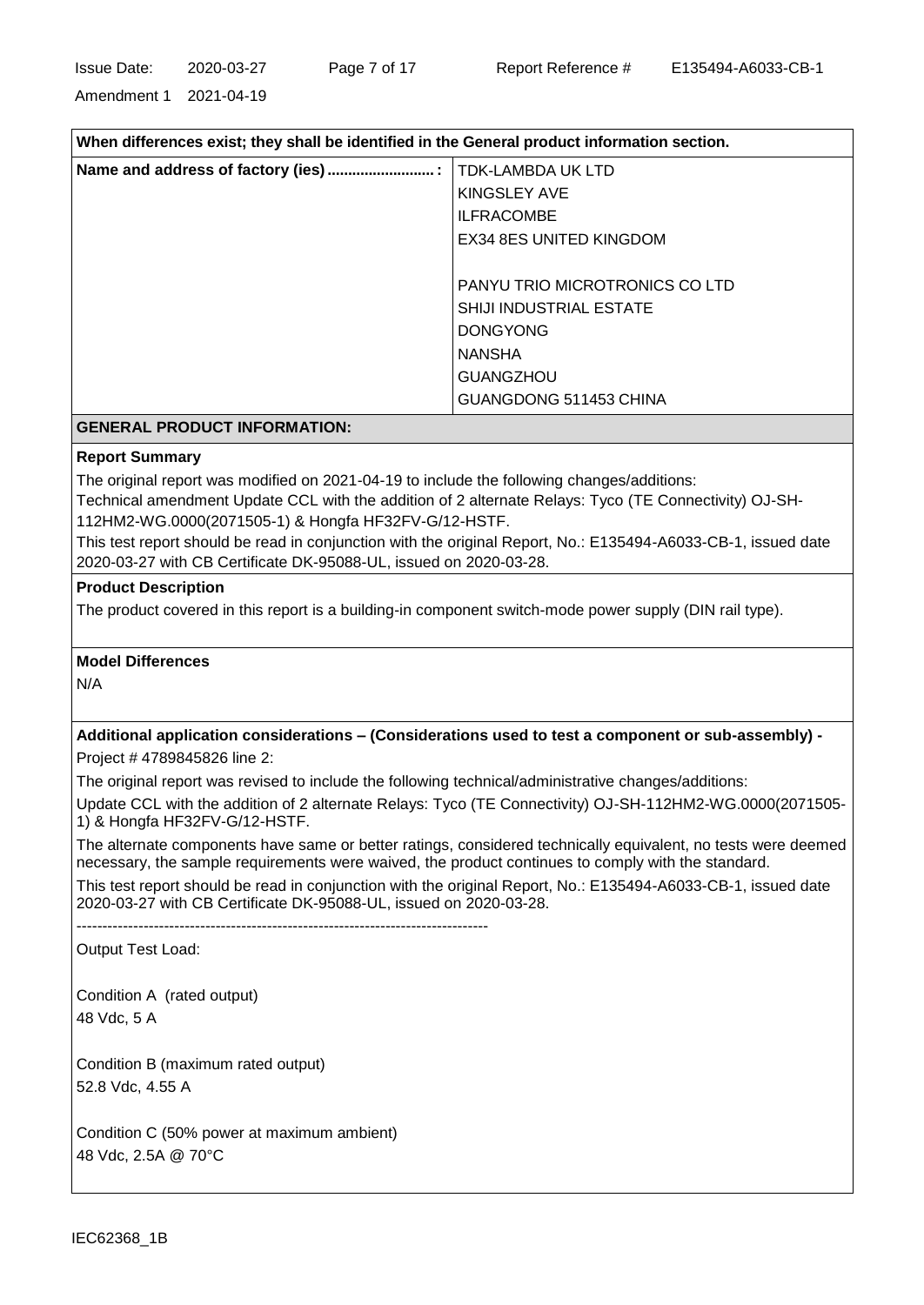Amendment 1 2021-04-19

| When differences exist; they shall be identified in the General product information section. |                                |  |
|----------------------------------------------------------------------------------------------|--------------------------------|--|
|                                                                                              | TDK-LAMBDA UK LTD              |  |
|                                                                                              | KINGSLEY AVE                   |  |
|                                                                                              | <b>ILFRACOMBE</b>              |  |
|                                                                                              | EX34 8ES UNITED KINGDOM        |  |
|                                                                                              | PANYU TRIO MICROTRONICS CO LTD |  |
|                                                                                              | <b>SHIJI INDUSTRIAL ESTATE</b> |  |
|                                                                                              | <b>DONGYONG</b>                |  |
|                                                                                              | <b>NANSHA</b>                  |  |
|                                                                                              | <b>GUANGZHOU</b>               |  |
|                                                                                              | GUANGDONG 511453 CHINA         |  |
| <b>GENERAL PRODUCT INFORMATION:</b>                                                          |                                |  |

#### **Report Summary**

The original report was modified on 2021-04-19 to include the following changes/additions:

Technical amendment Update CCL with the addition of 2 alternate Relays: Tyco (TE Connectivity) OJ-SH-112HM2-WG.0000(2071505-1) & Hongfa HF32FV-G/12-HSTF.

This test report should be read in conjunction with the original Report, No.: E135494-A6033-CB-1, issued date 2020-03-27 with CB Certificate DK-95088-UL, issued on 2020-03-28.

#### **Product Description**

The product covered in this report is a building-in component switch-mode power supply (DIN rail type).

## **Model Differences**

N/A

# **Additional application considerations – (Considerations used to test a component or sub-assembly) -**

Project # 4789845826 line 2:

The original report was revised to include the following technical/administrative changes/additions:

Update CCL with the addition of 2 alternate Relays: Tyco (TE Connectivity) OJ-SH-112HM2-WG.0000(2071505- 1) & Hongfa HF32FV-G/12-HSTF.

The alternate components have same or better ratings, considered technically equivalent, no tests were deemed necessary, the sample requirements were waived, the product continues to comply with the standard.

This test report should be read in conjunction with the original Report, No.: E135494-A6033-CB-1, issued date 2020-03-27 with CB Certificate DK-95088-UL, issued on 2020-03-28.

--------------------------------------------------------------------------------

Output Test Load:

Condition A (rated output) 48 Vdc, 5 A

Condition B (maximum rated output) 52.8 Vdc, 4.55 A

Condition C (50% power at maximum ambient) 48 Vdc, 2.5A @ 70°C